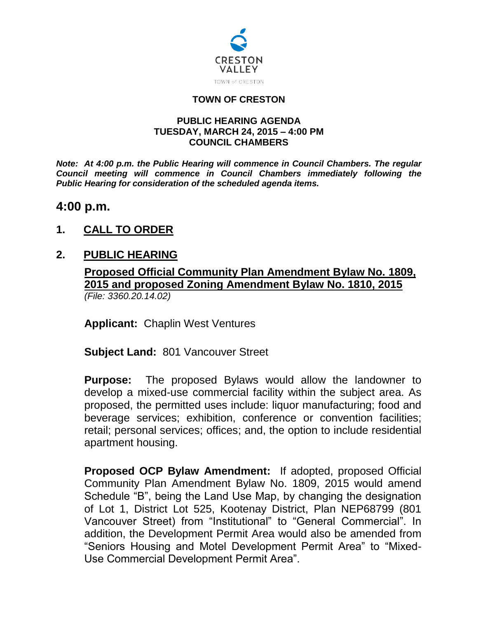

#### **TOWN OF CRESTON**

#### **PUBLIC HEARING AGENDA TUESDAY, MARCH 24, 2015 – 4:00 PM COUNCIL CHAMBERS**

*Note: At 4:00 p.m. the Public Hearing will commence in Council Chambers. The regular Council meeting will commence in Council Chambers immediately following the Public Hearing for consideration of the scheduled agenda items.*

# **4:00 p.m.**

**1. CALL TO ORDER**

## **2. PUBLIC HEARING**

#### **Proposed Official Community Plan Amendment Bylaw No. 1809, 2015 and proposed Zoning Amendment Bylaw No. 1810, 2015** *(File: 3360.20.14.02)*

**Applicant:** Chaplin West Ventures

**Subject Land:** 801 Vancouver Street

**Purpose:** The proposed Bylaws would allow the landowner to develop a mixed-use commercial facility within the subject area. As proposed, the permitted uses include: liquor manufacturing; food and beverage services; exhibition, conference or convention facilities; retail; personal services; offices; and, the option to include residential apartment housing.

**Proposed OCP Bylaw Amendment:** If adopted, proposed Official Community Plan Amendment Bylaw No. 1809, 2015 would amend Schedule "B", being the Land Use Map, by changing the designation of Lot 1, District Lot 525, Kootenay District, Plan NEP68799 (801 Vancouver Street) from "Institutional" to "General Commercial". In addition, the Development Permit Area would also be amended from "Seniors Housing and Motel Development Permit Area" to "Mixed-Use Commercial Development Permit Area".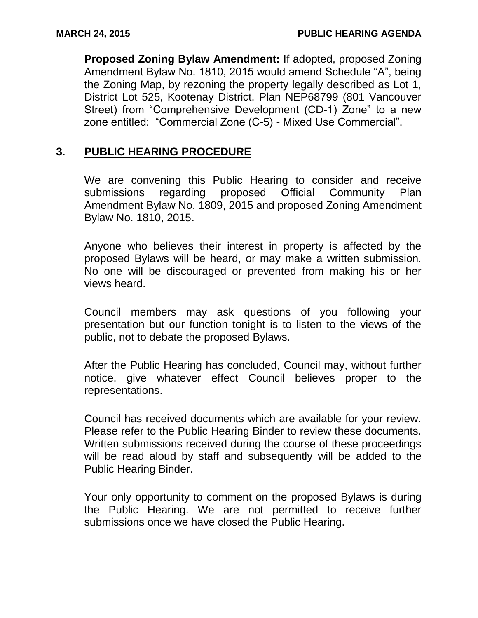**Proposed Zoning Bylaw Amendment:** If adopted, proposed Zoning Amendment Bylaw No. 1810, 2015 would amend Schedule "A", being the Zoning Map, by rezoning the property legally described as Lot 1, District Lot 525, Kootenay District, Plan NEP68799 (801 Vancouver Street) from "Comprehensive Development (CD-1) Zone" to a new zone entitled: "Commercial Zone (C-5) - Mixed Use Commercial".

### **3. PUBLIC HEARING PROCEDURE**

We are convening this Public Hearing to consider and receive submissions regarding proposed Official Community Plan Amendment Bylaw No. 1809, 2015 and proposed Zoning Amendment Bylaw No. 1810, 2015**.**

Anyone who believes their interest in property is affected by the proposed Bylaws will be heard, or may make a written submission. No one will be discouraged or prevented from making his or her views heard.

Council members may ask questions of you following your presentation but our function tonight is to listen to the views of the public, not to debate the proposed Bylaws.

After the Public Hearing has concluded, Council may, without further notice, give whatever effect Council believes proper to the representations.

Council has received documents which are available for your review. Please refer to the Public Hearing Binder to review these documents. Written submissions received during the course of these proceedings will be read aloud by staff and subsequently will be added to the Public Hearing Binder.

Your only opportunity to comment on the proposed Bylaws is during the Public Hearing. We are not permitted to receive further submissions once we have closed the Public Hearing.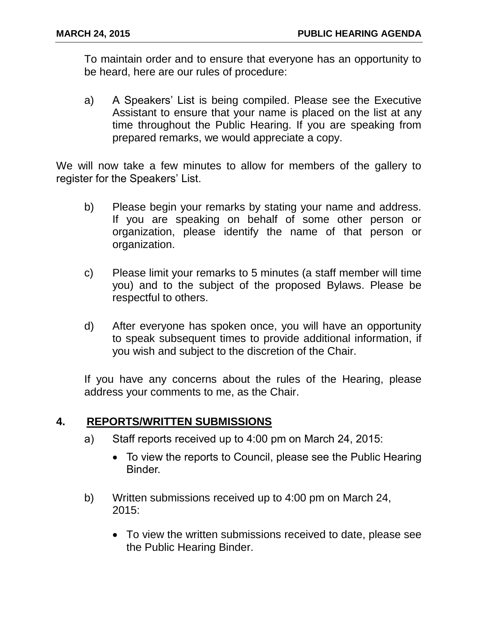To maintain order and to ensure that everyone has an opportunity to be heard, here are our rules of procedure:

a) A Speakers' List is being compiled. Please see the Executive Assistant to ensure that your name is placed on the list at any time throughout the Public Hearing. If you are speaking from prepared remarks, we would appreciate a copy.

We will now take a few minutes to allow for members of the gallery to register for the Speakers' List.

- b) Please begin your remarks by stating your name and address. If you are speaking on behalf of some other person or organization, please identify the name of that person or organization.
- c) Please limit your remarks to 5 minutes (a staff member will time you) and to the subject of the proposed Bylaws. Please be respectful to others.
- d) After everyone has spoken once, you will have an opportunity to speak subsequent times to provide additional information, if you wish and subject to the discretion of the Chair.

If you have any concerns about the rules of the Hearing, please address your comments to me, as the Chair.

## **4. REPORTS/WRITTEN SUBMISSIONS**

- a) Staff reports received up to 4:00 pm on March 24, 2015:
	- To view the reports to Council, please see the Public Hearing Binder.
- b) Written submissions received up to 4:00 pm on March 24, 2015:
	- To view the written submissions received to date, please see the Public Hearing Binder.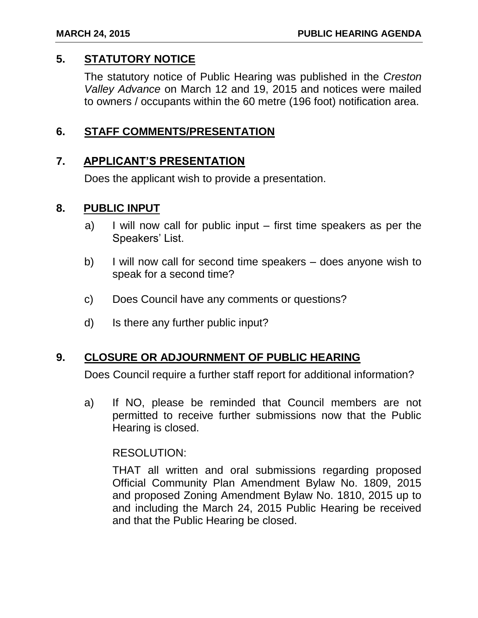## **5. STATUTORY NOTICE**

The statutory notice of Public Hearing was published in the *Creston Valley Advance* on March 12 and 19, 2015 and notices were mailed to owners / occupants within the 60 metre (196 foot) notification area.

## **6. STAFF COMMENTS/PRESENTATION**

## **7. APPLICANT'S PRESENTATION**

Does the applicant wish to provide a presentation.

#### **8. PUBLIC INPUT**

- a) I will now call for public input first time speakers as per the Speakers' List.
- b) I will now call for second time speakers does anyone wish to speak for a second time?
- c) Does Council have any comments or questions?
- d) Is there any further public input?

## **9. CLOSURE OR ADJOURNMENT OF PUBLIC HEARING**

Does Council require a further staff report for additional information?

a) If NO, please be reminded that Council members are not permitted to receive further submissions now that the Public Hearing is closed.

#### RESOLUTION:

THAT all written and oral submissions regarding proposed Official Community Plan Amendment Bylaw No. 1809, 2015 and proposed Zoning Amendment Bylaw No. 1810, 2015 up to and including the March 24, 2015 Public Hearing be received and that the Public Hearing be closed.